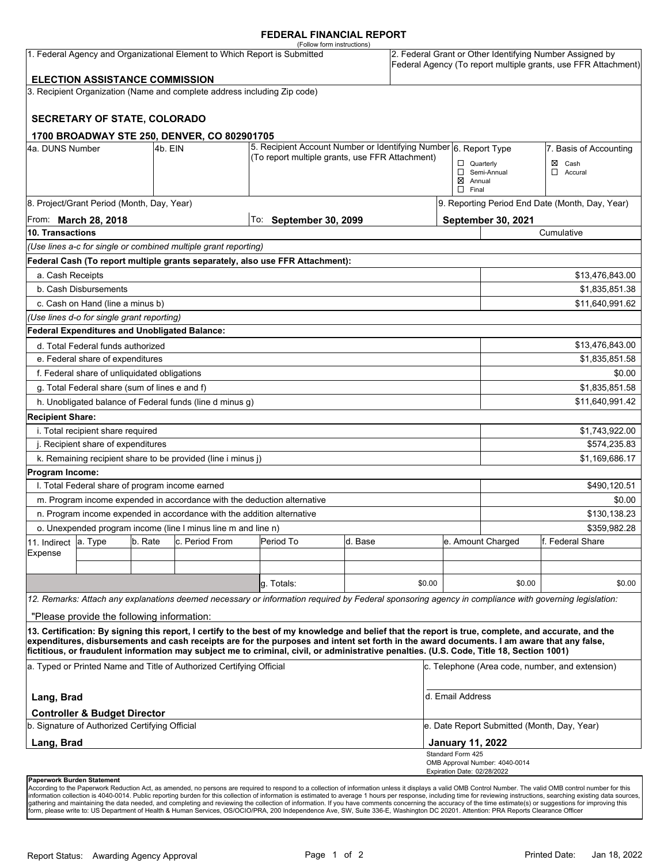### **FEDERAL FINANCIAL REPORT**

|                                                 |                                                                                           |         |                                                                           | (Follow form instructions)                                                                                                                                                                                                                                                                         |         |        |                             |                                             |                                                                                                                            |  |
|-------------------------------------------------|-------------------------------------------------------------------------------------------|---------|---------------------------------------------------------------------------|----------------------------------------------------------------------------------------------------------------------------------------------------------------------------------------------------------------------------------------------------------------------------------------------------|---------|--------|-----------------------------|---------------------------------------------|----------------------------------------------------------------------------------------------------------------------------|--|
|                                                 |                                                                                           |         | 1. Federal Agency and Organizational Element to Which Report is Submitted |                                                                                                                                                                                                                                                                                                    |         |        |                             |                                             | 2. Federal Grant or Other Identifying Number Assigned by<br>Federal Agency (To report multiple grants, use FFR Attachment) |  |
|                                                 | <b>ELECTION ASSISTANCE COMMISSION</b>                                                     |         |                                                                           |                                                                                                                                                                                                                                                                                                    |         |        |                             |                                             |                                                                                                                            |  |
|                                                 |                                                                                           |         | 3. Recipient Organization (Name and complete address including Zip code)  |                                                                                                                                                                                                                                                                                                    |         |        |                             |                                             |                                                                                                                            |  |
|                                                 |                                                                                           |         |                                                                           |                                                                                                                                                                                                                                                                                                    |         |        |                             |                                             |                                                                                                                            |  |
|                                                 | <b>SECRETARY OF STATE, COLORADO</b>                                                       |         |                                                                           |                                                                                                                                                                                                                                                                                                    |         |        |                             |                                             |                                                                                                                            |  |
|                                                 |                                                                                           |         | 1700 BROADWAY STE 250, DENVER, CO 802901705                               |                                                                                                                                                                                                                                                                                                    |         |        |                             |                                             |                                                                                                                            |  |
| 4a. DUNS Number                                 |                                                                                           | 4b. EIN |                                                                           | 5. Recipient Account Number or Identifying Number 6. Report Type                                                                                                                                                                                                                                   |         |        |                             |                                             | 7. Basis of Accounting                                                                                                     |  |
| (To report multiple grants, use FFR Attachment) |                                                                                           |         |                                                                           |                                                                                                                                                                                                                                                                                                    |         |        |                             | $\Box$ Quarterly                            | $\boxtimes$ Cash                                                                                                           |  |
|                                                 |                                                                                           |         |                                                                           |                                                                                                                                                                                                                                                                                                    |         |        | $\boxtimes$ Annual          | Semi-Annual                                 | Accural<br>□                                                                                                               |  |
|                                                 |                                                                                           |         |                                                                           |                                                                                                                                                                                                                                                                                                    |         |        | $\Box$ Final                |                                             |                                                                                                                            |  |
|                                                 | 8. Project/Grant Period (Month, Day, Year)                                                |         |                                                                           |                                                                                                                                                                                                                                                                                                    |         |        |                             |                                             | 9. Reporting Period End Date (Month, Day, Year)                                                                            |  |
|                                                 | From: <b>March 28, 2018</b>                                                               |         |                                                                           | $ $ To: September 30, 2099                                                                                                                                                                                                                                                                         |         |        |                             | September 30, 2021                          |                                                                                                                            |  |
| 10. Transactions                                |                                                                                           |         |                                                                           |                                                                                                                                                                                                                                                                                                    |         |        |                             |                                             | Cumulative                                                                                                                 |  |
|                                                 |                                                                                           |         | (Use lines a-c for single or combined multiple grant reporting)           |                                                                                                                                                                                                                                                                                                    |         |        |                             |                                             |                                                                                                                            |  |
|                                                 |                                                                                           |         |                                                                           | Federal Cash (To report multiple grants separately, also use FFR Attachment):                                                                                                                                                                                                                      |         |        |                             |                                             |                                                                                                                            |  |
| a. Cash Receipts                                |                                                                                           |         |                                                                           |                                                                                                                                                                                                                                                                                                    |         |        |                             |                                             | \$13,476,843.00                                                                                                            |  |
|                                                 | b. Cash Disbursements                                                                     |         |                                                                           |                                                                                                                                                                                                                                                                                                    |         |        |                             |                                             | \$1,835,851.38                                                                                                             |  |
|                                                 | c. Cash on Hand (line a minus b)                                                          |         |                                                                           |                                                                                                                                                                                                                                                                                                    |         |        |                             |                                             | \$11,640,991.62                                                                                                            |  |
|                                                 | (Use lines d-o for single grant reporting)                                                |         |                                                                           |                                                                                                                                                                                                                                                                                                    |         |        |                             |                                             |                                                                                                                            |  |
|                                                 | <b>Federal Expenditures and Unobligated Balance:</b>                                      |         |                                                                           |                                                                                                                                                                                                                                                                                                    |         |        |                             |                                             |                                                                                                                            |  |
|                                                 | d. Total Federal funds authorized                                                         |         |                                                                           |                                                                                                                                                                                                                                                                                                    |         |        |                             |                                             | \$13,476,843.00                                                                                                            |  |
|                                                 | e. Federal share of expenditures                                                          |         |                                                                           |                                                                                                                                                                                                                                                                                                    |         |        |                             |                                             | \$1,835,851.58                                                                                                             |  |
|                                                 | f. Federal share of unliquidated obligations                                              |         |                                                                           |                                                                                                                                                                                                                                                                                                    |         |        |                             |                                             | \$0.00                                                                                                                     |  |
|                                                 | g. Total Federal share (sum of lines e and f)                                             |         |                                                                           |                                                                                                                                                                                                                                                                                                    |         |        |                             |                                             | \$1,835,851.58                                                                                                             |  |
|                                                 |                                                                                           |         | h. Unobligated balance of Federal funds (line d minus g)                  |                                                                                                                                                                                                                                                                                                    |         |        |                             |                                             | \$11,640,991.42                                                                                                            |  |
| <b>Recipient Share:</b>                         |                                                                                           |         |                                                                           |                                                                                                                                                                                                                                                                                                    |         |        |                             |                                             |                                                                                                                            |  |
|                                                 | i. Total recipient share required                                                         |         |                                                                           |                                                                                                                                                                                                                                                                                                    |         |        |                             |                                             | \$1,743,922.00                                                                                                             |  |
|                                                 | j. Recipient share of expenditures                                                        |         |                                                                           |                                                                                                                                                                                                                                                                                                    |         |        |                             |                                             | \$574,235.83                                                                                                               |  |
|                                                 |                                                                                           |         | k. Remaining recipient share to be provided (line i minus j)              |                                                                                                                                                                                                                                                                                                    |         |        |                             |                                             | \$1,169,686.17                                                                                                             |  |
| Program Income:                                 |                                                                                           |         |                                                                           |                                                                                                                                                                                                                                                                                                    |         |        |                             |                                             |                                                                                                                            |  |
|                                                 | I. Total Federal share of program income earned                                           |         |                                                                           |                                                                                                                                                                                                                                                                                                    |         |        |                             |                                             | \$490,120.51                                                                                                               |  |
|                                                 |                                                                                           |         | m. Program income expended in accordance with the deduction alternative   |                                                                                                                                                                                                                                                                                                    |         |        |                             |                                             | \$0.00                                                                                                                     |  |
|                                                 |                                                                                           |         | n. Program income expended in accordance with the addition alternative    |                                                                                                                                                                                                                                                                                                    |         |        |                             |                                             | \$130,138.23                                                                                                               |  |
|                                                 |                                                                                           |         | o. Unexpended program income (line I minus line m and line n)             |                                                                                                                                                                                                                                                                                                    |         |        |                             |                                             | \$359.982.28                                                                                                               |  |
| 11. Indirect                                    | a. Type                                                                                   | b. Rate | c. Period From                                                            | Period To                                                                                                                                                                                                                                                                                          | d. Base |        |                             | e. Amount Charged                           | f. Federal Share                                                                                                           |  |
| Expense                                         |                                                                                           |         |                                                                           |                                                                                                                                                                                                                                                                                                    |         |        |                             |                                             |                                                                                                                            |  |
|                                                 |                                                                                           |         |                                                                           |                                                                                                                                                                                                                                                                                                    |         |        |                             |                                             |                                                                                                                            |  |
|                                                 |                                                                                           |         |                                                                           | g. Totals:                                                                                                                                                                                                                                                                                         |         | \$0.00 |                             | \$0.00                                      | \$0.00                                                                                                                     |  |
|                                                 |                                                                                           |         |                                                                           | 12. Remarks: Attach any explanations deemed necessary or information required by Federal sponsoring agency in compliance with governing legislation:                                                                                                                                               |         |        |                             |                                             |                                                                                                                            |  |
|                                                 | "Please provide the following information:                                                |         |                                                                           |                                                                                                                                                                                                                                                                                                    |         |        |                             |                                             |                                                                                                                            |  |
|                                                 |                                                                                           |         |                                                                           | 13. Certification: By signing this report, I certify to the best of my knowledge and belief that the report is true, complete, and accurate, and the<br>expenditures, disbursements and cash receipts are for the purposes and intent set forth in the award documents. I am aware that any false, |         |        |                             |                                             |                                                                                                                            |  |
|                                                 |                                                                                           |         |                                                                           | fictitious, or fraudulent information may subject me to criminal, civil, or administrative penalties. (U.S. Code, Title 18, Section 1001)                                                                                                                                                          |         |        |                             |                                             |                                                                                                                            |  |
|                                                 |                                                                                           |         | a. Typed or Printed Name and Title of Authorized Certifying Official      |                                                                                                                                                                                                                                                                                                    |         |        |                             |                                             | c. Telephone (Area code, number, and extension)                                                                            |  |
| Lang, Brad                                      |                                                                                           |         |                                                                           |                                                                                                                                                                                                                                                                                                    |         |        | d. Email Address            |                                             |                                                                                                                            |  |
|                                                 | <b>Controller &amp; Budget Director</b><br>b. Signature of Authorized Certifying Official |         |                                                                           |                                                                                                                                                                                                                                                                                                    |         |        |                             | e. Date Report Submitted (Month, Day, Year) |                                                                                                                            |  |
| Lang, Brad                                      |                                                                                           |         |                                                                           |                                                                                                                                                                                                                                                                                                    |         |        | <b>January 11, 2022</b>     |                                             |                                                                                                                            |  |
|                                                 |                                                                                           |         |                                                                           |                                                                                                                                                                                                                                                                                                    |         |        | Standard Form 425           |                                             |                                                                                                                            |  |
|                                                 |                                                                                           |         |                                                                           |                                                                                                                                                                                                                                                                                                    |         |        | Expiration Date: 02/28/2022 | OMB Approval Number: 4040-0014              |                                                                                                                            |  |
|                                                 |                                                                                           |         |                                                                           |                                                                                                                                                                                                                                                                                                    |         |        |                             |                                             |                                                                                                                            |  |

**Paperwork Burden Statement** 

According to the Paperwork Reduction Act, as amended, no persons are required to respond to a collection of information unless it displays a valid OMB Control Number. The valid OMB control number for this<br>information colle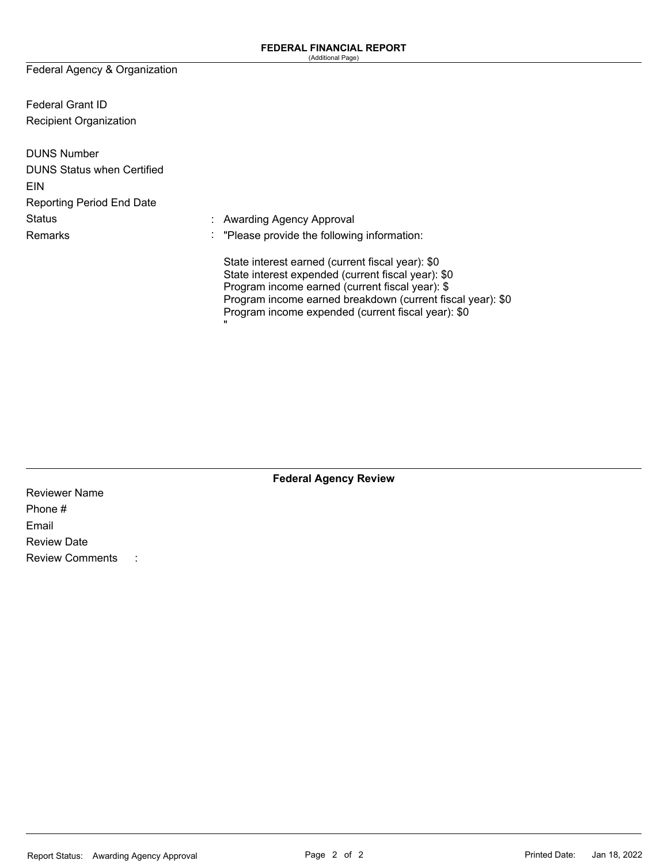Federal Agency & Organization

Federal Grant ID Recipient Organization

| <b>DUNS Number</b>                |                                                                                                                                                                                                                                                                                    |
|-----------------------------------|------------------------------------------------------------------------------------------------------------------------------------------------------------------------------------------------------------------------------------------------------------------------------------|
| <b>DUNS Status when Certified</b> |                                                                                                                                                                                                                                                                                    |
| <b>EIN</b>                        |                                                                                                                                                                                                                                                                                    |
| <b>Reporting Period End Date</b>  |                                                                                                                                                                                                                                                                                    |
| <b>Status</b>                     | : Awarding Agency Approval                                                                                                                                                                                                                                                         |
| Remarks                           | $\therefore$ "Please provide the following information:                                                                                                                                                                                                                            |
|                                   | State interest earned (current fiscal year): \$0<br>State interest expended (current fiscal year): \$0<br>Program income earned (current fiscal year): \$<br>Program income earned breakdown (current fiscal year): \$0<br>Program income expended (current fiscal year): \$0<br>π |

**Federal Agency Review** 

Reviewer Name Phone # Email Review Date Review Comments :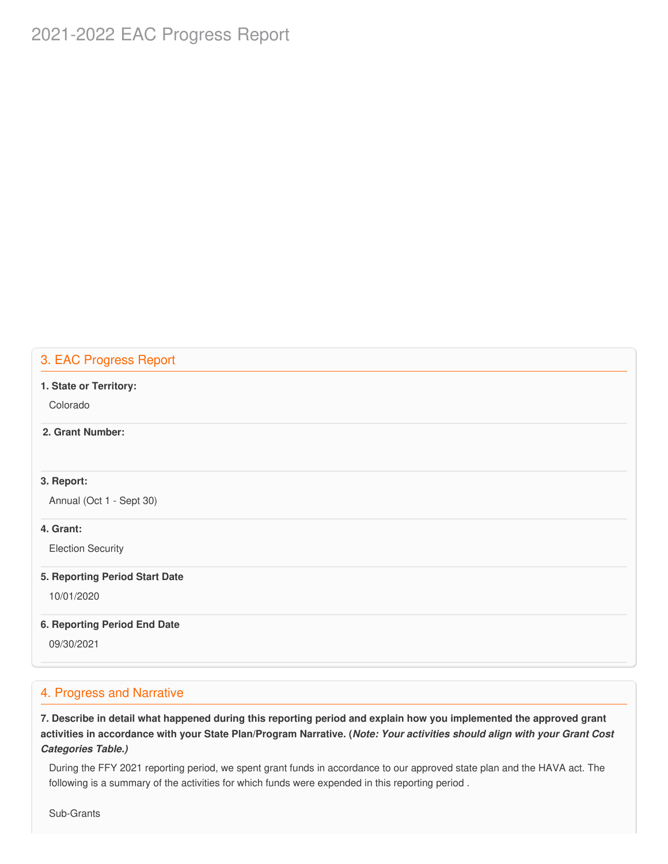# 2021-2022 EAC Progress Report

### 3. EAC Progress Report

#### **1. State or Territory:**

Colorado

### **2. Grant Number:**

### **3. Report:**

Annual (Oct 1 - Sept 30)

### **4. Grant:**

Election Security

#### **5. Reporting Period Start Date**

10/01/2020

#### **6. Reporting Period End Date**

09/30/2021

### 4. Progress and Narrative

7. Describe in detail what happened during this reporting period and explain how you implemented the approved grant activities in accordance with your State Plan/Program Narrative. (*Note: Your activities should align with your Grant Cost Categories Table.)*

 During the FFY 2021 reporting period, we spent grant funds in accordance to our approved state plan and the HAVA act. The following is a summary of the activities for which funds were expended in this reporting period .

Sub-Grants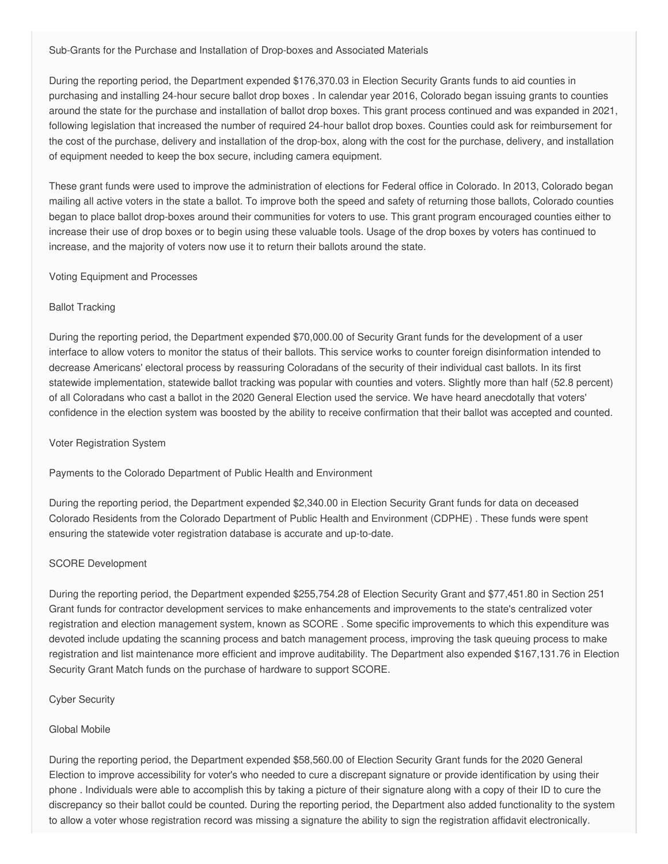Sub-Grants for the Purchase and Installation of Drop-boxes and Associated Materials

 During the reporting period, the Department expended \$[176,370.03](https://176,370.03) in Election Security Grants funds to aid counties in purchasing and installing 24-hour secure ballot drop boxes . In calendar year 2016, Colorado began issuing grants to counties around the state for the purchase and installation of ballot drop boxes. This grant process continued and was expanded in 2021, following legislation that increased the number of required 24-hour ballot drop boxes. Counties could ask for reimbursement for the cost of the purchase, delivery and installation of the drop-box, along with the cost for the purchase, delivery, and installation of equipment needed to keep the box secure, including camera equipment.

 These grant funds were used to improve the administration of elections for Federal office in Colorado. In 2013, Colorado began mailing all active voters in the state a ballot. To improve both the speed and safety of returning those ballots, Colorado counties began to place ballot drop-boxes around their communities for voters to use. This grant program encouraged counties either to increase their use of drop boxes or to begin using these valuable tools. Usage of the drop boxes by voters has continued to increase, and the majority of voters now use it to return their ballots around the state.

#### Voting Equipment and Processes

#### Ballot Tracking

 During the reporting period, the Department expended \$[70,000.00](https://70,000.00) of Security Grant funds for the development of a user interface to allow voters to monitor the status of their ballots. This service works to counter foreign disinformation intended to decrease Americans' electoral process by reassuring Coloradans of the security of their individual cast ballots. In its first statewide implementation, statewide ballot tracking was popular with counties and voters. Slightly more than half (52.8 percent) of all Coloradans who cast a ballot in the 2020 General Election used the service. We have heard anecdotally that voters' confidence in the election system was boosted by the ability to receive confirmation that their ballot was accepted and counted.

#### Voter Registration System

Payments to the Colorado Department of Public Health and Environment

 During the reporting period, the Department expended \$[2,340.00](https://2,340.00) in Election Security Grant funds for data on deceased Colorado Residents from the Colorado Department of Public Health and Environment (CDPHE) . These funds were spent ensuring the statewide voter registration database is accurate and up-to-date.

#### SCORE Development

 During the reporting period, the Department expended \$[255,754.28](https://255,754.28) of Election Security Grant and \$[77,451.80](https://77,451.80) in Section 251 Grant funds for contractor development services to make enhancements and improvements to the state's centralized voter registration and election management system, known as SCORE . Some specific improvements to which this expenditure was devoted include updating the scanning process and batch management process, improving the task queuing process to make registration and list maintenance more efficient and improve auditability. The Department also expended \$[167,131.76](https://167,131.76) in Election Security Grant Match funds on the purchase of hardware to support SCORE.

#### Cyber Security

#### Global Mobile

 During the reporting period, the Department expended \$[58,560.00](https://58,560.00) of Election Security Grant funds for the 2020 General Election to improve accessibility for voter's who needed to cure a discrepant signature or provide identification by using their phone . Individuals were able to accomplish this by taking a picture of their signature along with a copy of their ID to cure the discrepancy so their ballot could be counted. During the reporting period, the Department also added functionality to the system to allow a voter whose registration record was missing a signature the ability to sign the registration affidavit electronically.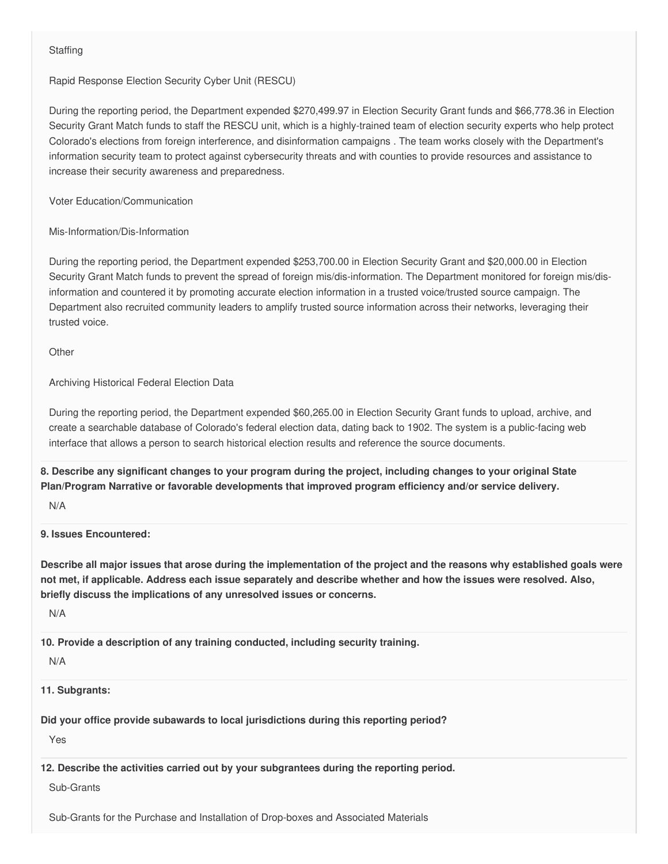### **Staffing**

Rapid Response Election Security Cyber Unit (RESCU)

 During the reporting period, the Department expended \$[270,499.97](https://270,499.97) in Election Security Grant funds and [\\$66,778.36](https://66,778.36) in Election Security Grant Match funds to staff the RESCU unit, which is a highly-trained team of election security experts who help protect Colorado's elections from foreign interference, and disinformation campaigns . The team works closely with the Department's information security team to protect against cybersecurity threats and with counties to provide resources and assistance to increase their security awareness and preparedness.

Voter Education/Communication

Mis-Information/Dis-Information

 During the reporting period, the Department expended \$[253,700.00](https://253,700.00) in Election Security Grant and [\\$20,000.00](https://20,000.00) in Election Security Grant Match funds to prevent the spread of foreign mis/dis-information. The Department monitored for foreign mis/dis- information and countered it by promoting accurate election information in a trusted voice/trusted source campaign. The Department also recruited community leaders to amplify trusted source information across their networks, leveraging their trusted voice.

**Other** 

Archiving Historical Federal Election Data

 During the reporting period, the Department expended \$[60,265.00](https://60,265.00) in Election Security Grant funds to upload, archive, and create a searchable database of Colorado's federal election data, dating back to 1902. The system is a public-facing web interface that allows a person to search historical election results and reference the source documents.

8. Describe any significant changes to your program during the project, including changes to your original State  **Plan/Program Narrative or favorable developments that improved program efficiency and/or service delivery.**

N/A

**9. Issues Encountered:**

Describe all major issues that arose during the implementation of the project and the reasons why established goals were not met, if applicable. Address each issue separately and describe whether and how the issues were resolved. Also,  **briefly discuss the implications of any unresolved issues or concerns.**

N/A

 **10. Provide a description of any training conducted, including security training.**

N/A

**11. Subgrants:**

 **Did your office provide subawards to local jurisdictions during this reporting period?**

Yes

 **12. Describe the activities carried out by your subgrantees during the reporting period.**

Sub-Grants

Sub-Grants for the Purchase and Installation of Drop-boxes and Associated Materials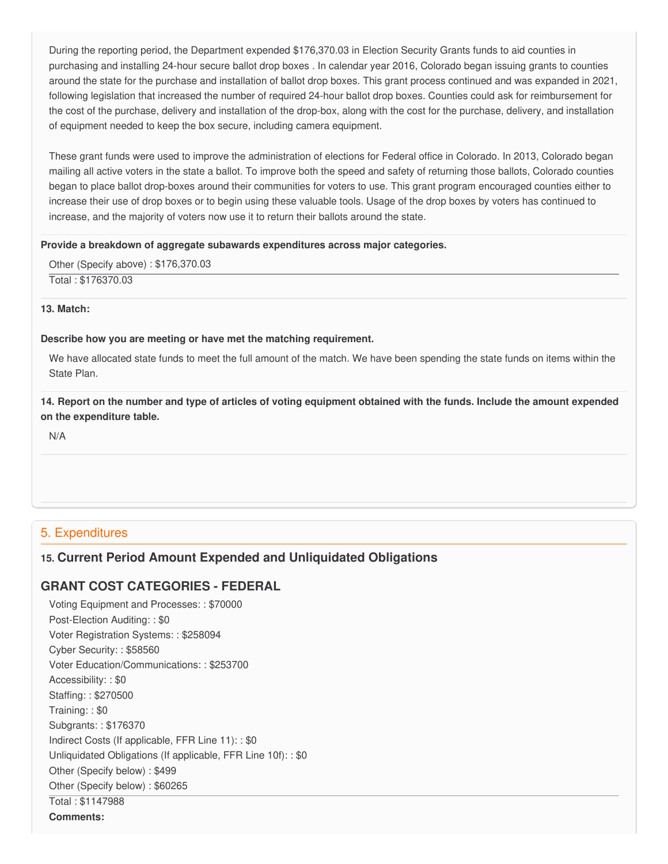During the reporting period, the Department expended \$[176,370.03](https://176,370.03) in Election Security Grants funds to aid counties in purchasing and installing 24-hour secure ballot drop boxes . In calendar year 2016, Colorado began issuing grants to counties around the state for the purchase and installation of ballot drop boxes. This grant process continued and was expanded in 2021, following legislation that increased the number of required 24-hour ballot drop boxes. Counties could ask for reimbursement for the cost of the purchase, delivery and installation of the drop-box, along with the cost for the purchase, delivery, and installation of equipment needed to keep the box secure, including camera equipment.

 These grant funds were used to improve the administration of elections for Federal office in Colorado. In 2013, Colorado began mailing all active voters in the state a ballot. To improve both the speed and safety of returning those ballots, Colorado counties began to place ballot drop-boxes around their communities for voters to use. This grant program encouraged counties either to increase their use of drop boxes or to begin using these valuable tools. Usage of the drop boxes by voters has continued to increase, and the majority of voters now use it to return their ballots around the state.

#### **Provide a breakdown of aggregate subawards expenditures across major categories.**

Other (Specify above) : [\\$176,370.03](https://176,370.03)

Total : [\\$176370.03](https://176370.03)

**13. Match:**

#### **Describe how you are meeting or have met the matching requirement.**

 We have allocated state funds to meet the full amount of the match. We have been spending the state funds on items within the State Plan.

14. Report on the number and type of articles of voting equipment obtained with the funds. Include the amount expended  **on the expenditure table.**

N/A

### 5. Expenditures

### **15. Current Period Amount Expended and Unliquidated Obligations**

# **GRANT COST CATEGORIES - FEDERAL**

 Voting Equipment and Processes: : \$70000 Post-Election Auditing: : \$0 Voter Registration Systems: : \$258094 Cyber Security: : \$58560 Voter Education/Communications: : \$253700 Accessibility: : \$0 Staffing: : \$270500 Training: : \$0 Subgrants: : \$176370 Indirect Costs (If applicable, FFR Line 11): : \$0 Unliquidated Obligations (If applicable, FFR Line 10f): : \$0 Other (Specify below) : \$499 Other (Specify below) : \$60265 Total : \$1147988 **Comments:**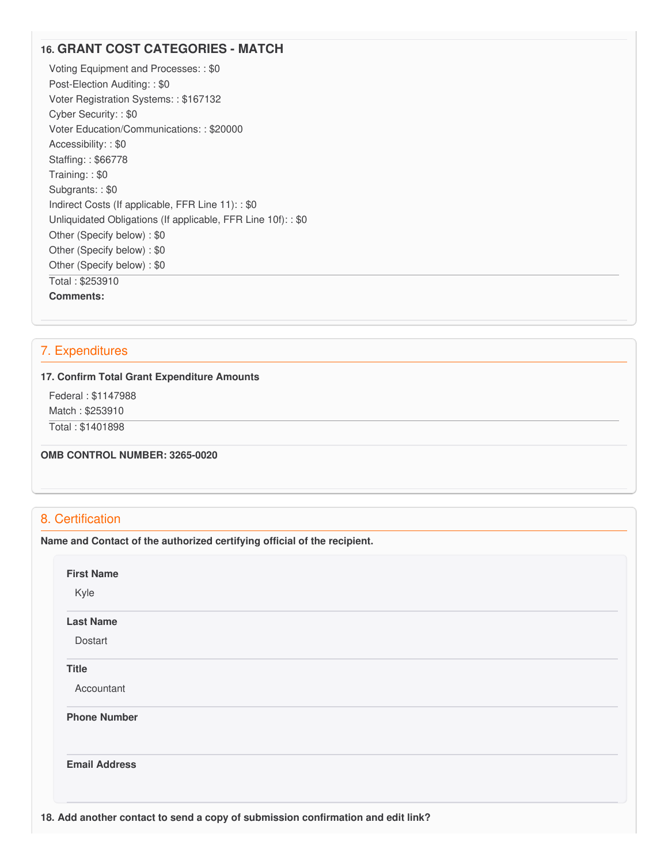# **16. GRANT COST CATEGORIES - MATCH**

 Voting Equipment and Processes: : \$0 Post-Election Auditing: : \$0 Voter Registration Systems: : \$167132 Cyber Security: : \$0 Voter Education/Communications: : \$20000 Accessibility: : \$0 Staffing: : \$66778 Training: : \$0 Subgrants: : \$0 Indirect Costs (If applicable, FFR Line 11): : \$0 Unliquidated Obligations (If applicable, FFR Line 10f): : \$0 Other (Specify below) : \$0 Other (Specify below) : \$0 Other (Specify below) : \$0 Total : \$253910 **Comments:**

### 7. Expenditures

#### **17. Confirm Total Grant Expenditure Amounts**

Federal : \$1147988

Match : \$253910

Total : \$1401898

 **OMB CONTROL NUMBER: 3265-0020**

# 8. Certification

 **Name and Contact of the authorized certifying official of the recipient.**

| Kyle                 |  |  |  |
|----------------------|--|--|--|
| <b>Last Name</b>     |  |  |  |
| Dostart              |  |  |  |
| <b>Title</b>         |  |  |  |
| Accountant           |  |  |  |
| <b>Phone Number</b>  |  |  |  |
| <b>Email Address</b> |  |  |  |
|                      |  |  |  |